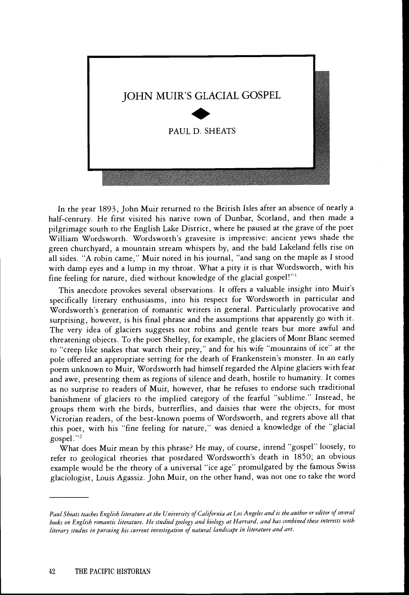

In the year 1893, John Muir returned to the British Isles after an absence of nearly a half-century. He first visited his native town of Dunbar, Scotland, and then made a pilgrimage south to the English Lake District, where he paused at the grave of the poet William Wordsworth. Wordsworth's gravesite is impressive: ancient yews shade the green churchyard, a mountain stream whispers by, and the bald Lakeland fells rise on all sides. "A robin came," Muir noted in his journal, "and sang on the maple as I stood with damp eyes and a lump in my throat. What a pity it is that Wordsworth, with his fine feeling for nature, died without knowledge of the glacial gospel!"<sup>1</sup>

This anecdote provokes several observations. It offers a valuable insight into Muir's specifically literary enthusiasms, into his respect for Wordsworth in particular and Wordsworth's generation of romantic writers in general. Particularly provocative and surprising, however, is his final phrase and the assumptions that apparently go with it. The very idea of glaciers suggests not robins and gentle tears but more awful and threatening objects. To the poet Shelley, for example, the glaciers of Mont Blanc seemed to "creep like snakes that watch their prey," and for his wife "mountains of ice" at the pole offered an appropriate setting for the death of Frankenstein's monster. In an early poem unknown to Muir, Wordsworth had himself regarded the Alpine glaciers with fear and awe, presenting them as regions of silence and death, hostile to humanity. It comes as no surprise to readers of Muir, however, that he refuses to endorse such traditional banishment of glaciers to the implied category of the fearful "sublime." Instead, he groups them with the birds, butterflies, and daisies that were the objects, for most Victorian readers, of the best-known poems of Wordsworth, and regrets above all that this poet, with his "fine feeling for nature," was denied a knowledge of the "glacial gospel."<sup>2</sup>

What does Muir mean by this phrase? He may, of course, intend "gospel" loosely, to refer to geological theories that postdated Wordsworth's death in 1850; an obvious example would be the theory of a universal "ice age" promulgated by the famous Swiss glaciologist, Louis Agassiz. John Muir, on the other hand, was not one to take the word

Paul Sheats teaches English literature at the University of California at Los Angeles and is the author or editor of several books on English romantic literature. He studied geology and biology at Harvard, and has combined these interests with literary studies in pursuing his current investigation of natural landscape in literature and art.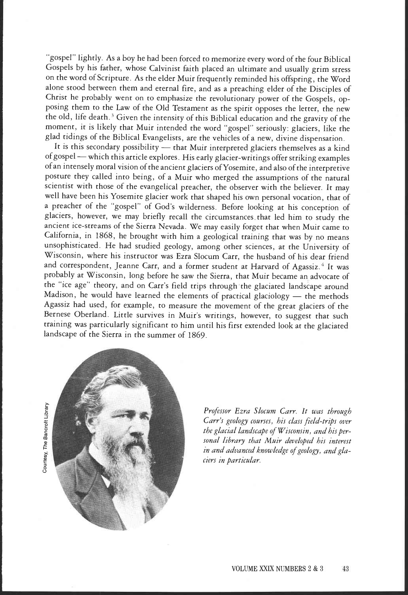"gospel" lightly. As a boy he had been forced to memorize every word of the four Biblical Gospels by his father, whose Calvinist faith placed an ultimate and usually grim stress on the word of Scripture. As the elder Muir frequently reminded his offspring, the Word alone stood between them and eternal fire, and as a preaching elder of the Disciples of Christ he probably went on to emphasize the revolutionary power of the Gospels, opposing them to the Law of the Old Testament as the spirit opposes the letter, the new the old, life death.<sup>3</sup> Given the intensity of this Biblical education and the gravity of the moment, it is likely that Muir intended the word 'gospel" seriously: glaciers, like the glad tidings of the Biblical Evangelists, are the vehicles of a new, divine dispensation.

It is this secondary possibility - that Muir interpreted glaciers themselves as a kind of gospel - which this article explores. His early glacier-writings offer striking examples of an intensely moral vision of the ancient glaciers ofYosemite, and also of the interpretive posture they called into being, of a Muir who merged the assumptions of the natural scientist with those of the evangelical preacher, the observer with the believer. It may well have been his Yosemite glacier work that shaped his own personal vocation, that of a preacher of the 'gospel" of God's wilderness. Before looking at his conception of glaciers, however, we may briefly recall the circumstances that led him to study the ancient ice-streams of the Sierra Nevada. We may easily forget that when Muir came to California, in 1868, he brought with him a geological training that was by no means unsophisticated. He had studied geology, among other sciences, at the University of Wisconsin, where his instructor was Ezra Slocum Carr, the husband of his dear friend and correspondent, Jeanne Carr, and a former student at Harvard of Agassiz.<sup>4</sup> It was probably at Wisconsin, long before he saw the Sierra, that Muir became an advocate of the "ice age" theory, and on Carr's field trips through the glaciated landscape around Madison, he would have learned the elements of practical glaciology  $-$  the methods Agassiz had used, for example, to measure the movement of the great glaciers of the Bernese Oberland. Little survives in Muir's writings, however, to suggest that such training was particularly significant to him until his first extended look at the glaciated landscape of the Sierra in the summer of 1869.





Professor Ezra Slocum Carr. It was through Carr's geology courses, his class field-trips over the glacial landscape of Wisconsin, and his personal library that Muir developed his interest in and advanced knowledge of geology, and glaciers in particular.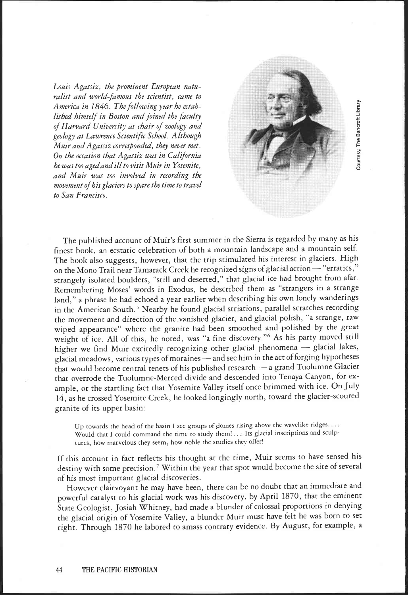Louis Agassiz, the prominent European naturalist and world-famous the scientist, came to America in 1846. The following year he established himself in Boston and joined the faculty of Harvard University as chair of zoology and geology at Lawrence Scientific School. Although Muir and Agassiz corresponded, they never met. On the occasion that Agassiz was in California he was too aged and ill to visit Muir in Yosemite, and Muir was too involved in recording the movement of his glaciers to spare the time to travel to San Francisco.



The published account of Muir's first summer in the Sierra is regarded by many as his finest book, an ecstatic celebration of both a mountain landscape and a mountain self. The book also suggests, however, that the trip stimulated his interest in glaciers. High on the Mono Trail near Tamarack Creek he recognized signs of glacial action - "erratics," strangely isolated boulders, "still and deserted," that glacial ice had brought from afar. Remembering Moses' words in Exodus, he described them as "strangers in a strange land," a phrase he had echoed a year earlier when describing his own lonely wanderings in the American South.<sup>5</sup> Nearby he found glacial striations, parallel scratches recording the movement and direction of the vanished glacier, and glacial polish, "a strange, raw wiped appearance" where the granite had been smoothed and polished by the great weight of ice. All of this, he noted, was "a fine discovery."6 As his party moved still higher we find Muir excitedly recognizing other glacial phenomena - glacial lakes, glacial meadows, various types of moraines - and see him in the act of forging hypotheses that would become central tenets of his published research - a grand Tuolumne Glacier that overrode the Tuolumne-Merced divide and descended into Tenaya Canyon, for example, or the startling fact that Yosemite Valley itself once brimmed with ice. On July 14, as he crossed Yosemite Creek, he looked longingly north, toward the glacier-scoured granite of its upper basin:

Up towards the head of the basin I see groups of domes rising above the wavelike ridges.... Would that I could command the time to study them!... Its glacial inscriptions and sculptures, how marvelous they seem, how noble the studies they offer!

If this account in fact reflects his thought at the time, Muir seems to have sensed his destiny with some precision.<sup>7</sup> Within the year that spot would become the site of several of his most important glacial discoveries.

However clairvoyant he may have been, there can be no doubt that an immediate and powerful catalyst to his glacial work was his discovery, by April 1870, that the eminent State Geologist, Josiah Whitney, had made a blunder of colossal proportions in denying the glacial origin of Yosemite Valley, a blunder Muir must have felt he was born to set right. Through 1870 he labored to amass contrary evidence. By August, for example, a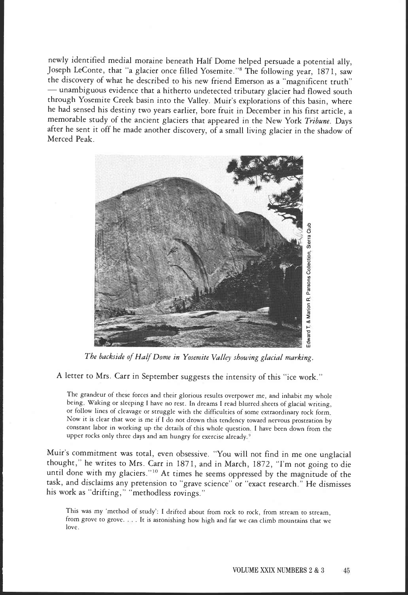newly identified medial moraine beneath Half Dome helped persuade a potential ally, Joseph LeConte, that "a glacier once filled Yosemite."8 The following year, 1871, saw the discovery of what he described to his new friend Emerson as a "magnificent truth" unambiguous evidence that a hitherto undetected tributary glacier had flowed south through Yosemite Creek basin into the Valley. Muir's explorations of this basin, where he had sensed his destiny two years earlier, bore fruit in December in his first article, a memorable study of the ancient glaciers that appeared in the New York Tribune. Days after he sent it off he made another discovery, of a small living glacier in the shadow of Merced Peak.



The backside of Half Dome in Yosemite Valley showing glacial marking.

A letter to Mrs. Carr in September suggests the intensity of this "ice work."

The grandeur of these forces and their glorious results overpower me, and inhabit my whole being. Waking or sleeping I have no rest. In dreams I read blurred sheets of glacial writing, or follow lines of cleavage or struggle with the difficulties of some extraordinary rock form Now it is clear that woe is me if I do not drown this tendency toward nervous prostration by constant labor in working up the details of this whole question. I have been down from the upper rocks only three days and am hungry for exercise already.<sup>9</sup>

Muir's commitment was total, even obsessive. You will not find in me one unglacial thought," he writes to Mrs. Carr in 1871, and in March, 1872, "I'm not going to die until done with my glaciers."1° At times he seems oppressed by the magnitude of the task, and disclaims any pretension to "grave science" or "exact research." He dismisses his work as "drifting," "methodless rovings."

This was my 'method of study': I drifted about from rock to rock, from stream to stream, from grove to grove. . It is astonishing how high and far we can climb mountains that we love.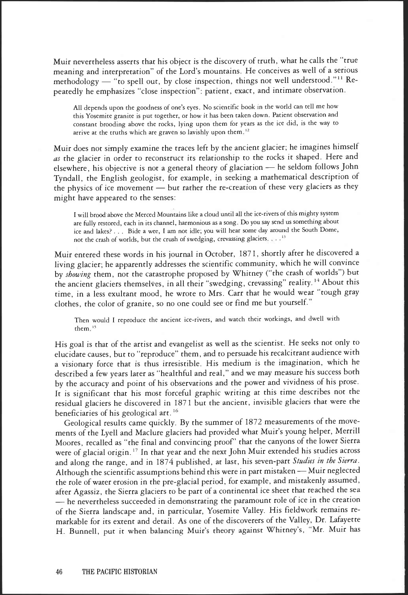Muir nevertheless asserts that his object is the discovery of truth, what he calls the 'true meaning and interpretation" of the Lord's mountains. He conceives as well of a serious methodology  $-$  "to spell out, by close inspection, things not well understood."<sup>11</sup> Repeatedly he emphasizes "close inspection": patient, exact, and intimate observation.

All depends upon the goodness of one's eyes. No scientific book in the world can tell me how this Yosemite granite is put together, or how it has been taken down. Patient observation and constant brooding above the rocks, lying upon them for years as the ice did, is the way to arrive at the truths which are graven so lavishly upon them.<sup>12</sup>

Muir does not simply examine the traces left by the ancient glacier; he imagines himself as the glacier in order to reconstruct its relationship to the rocks it shaped. Here and elsewhere, his objective is not a general theory of glaciation - he seldom follows John Tyndall, the English geologist, for example, in seeking a mathematical description of the physics of ice movement - but rather the re-creation of these very glaciers as they might have appeared to the senses:

I will brood above the Merced Mountains like a cloud until all the ice-rivers of this mighty system are fully restored, each in its channel, harmonious as a song. Do you say send us something about ice and lakes? . . . Bide a wee, I am not idle; you will hear some day around the South Dome, not the crash of worlds, but the crush of swedging, crevassing glaciers . . .<sup>13</sup>

Muir entered these words in his journal in October, 1871, shortly after he discovered a living glacier; he apparently addresses the scientific community, which he will convince by showing them, not the catastrophe proposed by Whitney ("the crash of worlds") but the ancient glaciers themselves, in all their "swedging, crevassing" reality. 14 About this time, in a less exultant mood, he wrote to Mrs. Carr that he would wear "tough gray clothes, the color of granite, so no one could see or find me but yourself."

Then would I reproduce the ancient ice-rivers, and watch their workings, and dwell with them.<sup>15</sup>

His goal is that of the artist and evangelist as well as the scientist. He seeks not only to elucidate causes, but to "reproduce" them, and to persuade his recalcitrant audience with a visionary force that is thus irresistible. His medium is the imagination, which he described a few years later as 'healthful and real," and we may measure his success both by the accuracy and point of his observations and the power and vividness of his prose. It is significant that his most forceful graphic writing at this time describes not the residual glaciers he discovered in 1871 but the ancient, invisible glaciers that were the beneficiaries of his geological art. 16

Geological results came quickly. By the summer of 1872 measurements of the movements of the Lyell and Maclure glaciers had provided what Muir's young helper, Merrill Moores, recalled as "the final and convincing proof' that the canyons of the lower Sierra were of glacial origin. 17 In that year and the next John Muir extended his studies across and along the range, and in 1874 published, at last, his seven-part Studies in the Sierra. Although the scientific assumptions behind this were in part mistaken - Muir neglected the role of water erosion in the pre-glacial period, for example, and mistakenly assumed, after Agassiz, the Sierra glaciers to be part of a continental ice sheet that reached the sea - he nevertheless succeeded in demonstrating the paramount role of ice in the creation of the Sierra landscape and, in particular, Yosemite Valley. His fieldwork remains remarkable for its extent and detail. As one of the discoverers of the Valley, Dr. Lafayette H. Bunnell, put it when balancing Muir's theory against Whitney's, "Mr. Muir has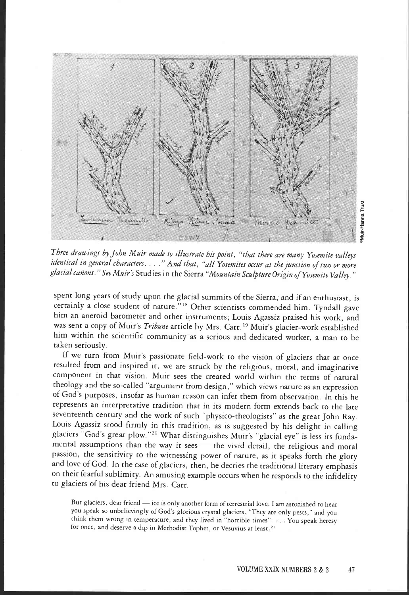

Three drawings by John Muir made to illustrate his point, "that there are many Yosemite valleys identical in general characters. . . ." And that, "all Yosemites occur at the junction of two or more glacial cañons." See Muir's Studies in the Sierra "Mountain Sculpture Origin of Yosemite Valley."

spent long years of study upon the glacial summits of the Sierra, and if an enthusiast, is certainly a close student of nature." 18 Other scientists commended him. Tyndall gave him an aneroid barometer and other instruments; Louis Agassiz praised his work, and was sent a copy of Muir's Tribune article by Mrs. Carr.<sup>19</sup> Muir's glacier-work established him within the scientific community as a serious and dedicated worker, a man to be taken seriously.

If we turn from Muir's passionate field-work to the vision of glaciers that at once resulted from and inspired it, we are struck by the religious, moral, and imaginative component in that vision. Muir sees the created world within the terms of natural theology and the so-called 'argument from design," which views nature as an expression of God's purposes, insofar as human reason can infer them from observation. In this he represents an interpretative tradition that in its modern form extends back to the late seventeenth century and the work of such 'physico-theologists" as the great John Ray. Louis Agassiz stood firmly in this tradition, as is suggested by his delight in calling glaciers "God's great plow."20 What distinguishes Muir's "glacial eye" is less its fundamental assumptions than the way it sees - the vivid detail, the religious and moral passion, the sensitivity to the witnessing power of nature, as it speaks forth the glory and love of God. In the case of glaciers, then, he decries the traditional literary emphasis on their fearful sublimity. An amusing example occurs when he responds to the infidelity to glaciers of his dear friend Mrs. Carr.

But glaciers, dear friend - ice is only another form of terrestrial love. I am astonished to hear you speak so unbelievingly of God's glorious crystal glaciers "They are only pests," and you think them wrong in temperature, and they lived in "horrible times" . You speak heresy for once, and deserve a dip in Methodist Tophet, or Vesuvius at least, 21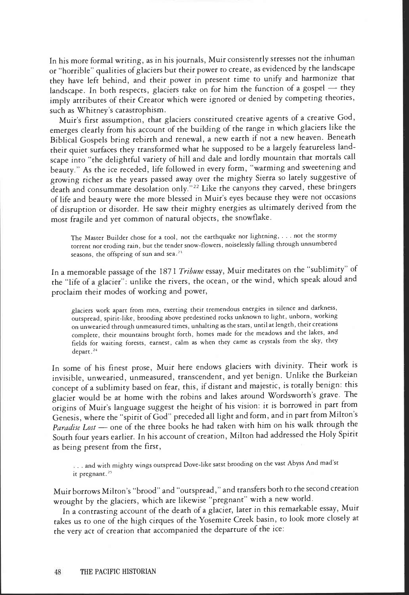In his more formal writing, as in his journals, Muir consistently stresses not the inhuman or 'horrible" qualities of glaciers but their power to create, as evidenced by the landscape they have left behind, and their power in present time to unify and harmonize that landscape. In both respects, glaciers take on for him the function of a gospel  $-$  they imply attributes of their Creator which were ignored or denied by competing theories, such as Whitney's catastrophism.

Muir's first assumption, that glaciers constituted creative agents of a creative God, emerges clearly from his account of the building of the range in which glaciers like the Biblical Gospels bring rebirth and renewal, a new earth if not a new heaven. Beneath their quiet surfaces they transformed what he supposed to be a largely featureless landscape into "the delightful variety of hill and dale and lordly mountain that mortals call beauty." As the ice receded, life followed in every form, "warming and sweetening and growing richer as the years passed away over the mighty Sierra so lately suggestive of death and consummate desolation only."<sup>22</sup> Like the canyons they carved, these bringers of life and beauty were the more blessed in Muir's eyes because they were not occasions of disruption or disorder. He saw their mighty energies as ultimately derived from the most fragile and yet common of natural objects, the snowflake.

The Master Builder chose for a tool, not the earthquake nor lightning, . . . not the stormy torrent nor eroding rain, but the tender snow-flowers, noiselessly falling through unnumbered seasons, the offspring of sun and sea.<sup>23</sup>

In a memorable passage of the 1871 Tribune essay, Muir meditates on the "sublimity" of the "life of a glacier": unlike the rivers, the ocean, or the wind, which speak aloud and proclaim their modes of working and power,

glaciers work apart from men, exerting their tremendous energies in silence and darkness, outspread, spirit-like, brooding above predestined rocks unknown to light, unborn, working on unwearied through unmeasured times, unhalting as the stars, until at length, their creations complete, their mountains brought forth, homes made for the meadows and the lakes, and fields for waiting forests, earnest, calm as when they came as crystals from the sky, they depart.<sup>24</sup>

In some of his finest prose, Muir here endows glaciers with divinity. Their work is invisible, unwearied, unmeasured, transcendent, and yet benign. Unlike the Burkeian concept of a sublimity based on fear, this, if distant and majestic, is totally benign: this glacier would be at home with the robins and lakes around Wordsworth's grave. The origins of Muir's language suggest the height of his vision: it is borrowed in part from Genesis, where the "spirit of God" preceded all light and form, and in part from Milton's Paradise Lost - one of the three books he had taken with him on his walk through the South four years earlier. In his account of creation, Milton had addressed the Holy Spirit as being present from the first,

and with mighty wings outspread Dove-like satst brooding on the vast Abyss And mad'st it pregnant.<sup>25</sup>

Muir borrows Milton's "brood" and "outspread," and transfers both to the second creation wrought by the glaciers, which are likewise "pregnant" with a new world.

In a contrasting account of the death of a glacier, later in this remarkable essay, Muir takes us to one of the high cirques of the Yosemite Creek basin, to look more closely at the very act of creation that accompanied the departure of the ice: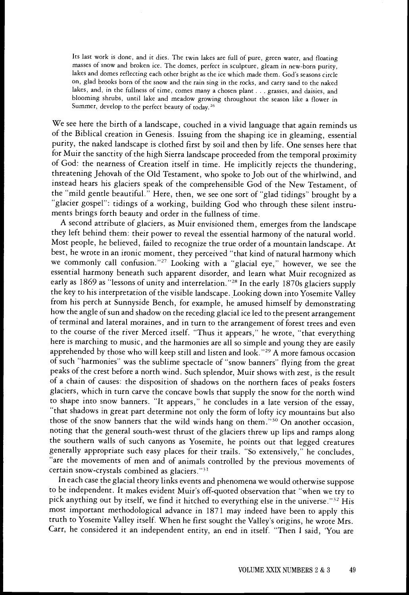Its last work is done, and it dies. The twin lakes are full of pure, green water, and floating masses of snow and broken ice. The domes, perfect in sculpture, gleam in new-born purity, lakes and domes reflecting each other bright as the ice which made them. God's seasons circle on, glad brooks born of the snow and the rain sing in the rocks, and carry sand to the naked lakes, and, in the fullness of time, comes many a chosen plant . . . grasses, and daisies, and blooming shrubs, until lake and meadow growing throughout the season like a flower in Summer, develop to the perfect beauty of today.<sup>26</sup>

We see here the birth of a landscape, couched in a vivid language that again reminds us of the Biblical creation in Genesis. Issuing from the shaping ice in gleaming, essential purity, the naked landscape is clothed first by soil and then by life. One senses here that for Muir the sanctity of the high Sierra landscape proceeded from the temporal proximity of God: the nearness of Creation itself in time. He implicitly rejects the thundering, threatening Jehovah of the Old Testament, who spoke to Job out of the whirlwind, and instead hears his glaciers speak of the comprehensible God of the New Testament, of the "mild gentle beautiful." Here, then, we see one sort of "glad tidings" brought by a "glacier gospel": tidings of a working, building God who through these silent instruments brings forth beauty and order in the fullness of time.

A second attribute of glaciers, as Muir envisioned them, emerges from the landscape they left behind them: their power to reveal the essential harmony of the natural world. Most people, he believed, failed to recognize the true order of a mountain landscape. At best, he wrote in an ironic moment, they perceived "that kind of natural harmony which we commonly call confusion."27 Looking with a "glacial eye," however, we see the essential harmony beneath such apparent disorder, and learn what Muir recognized as early as 1869 as "lessons of unity and interrelation."<sup>28</sup> In the early 1870s glaciers supply the key to his interpretation of the visible landscape. Looking down into Yosemite Valley from his perch at Sunnyside Bench, for example, he amused himself by demonstrating how the angle of sun and shadow on the receding glacial ice led to the present arrangement of terminal and lateral moraines, and in turn to the arrangement of forest trees and even to the course of the river Merced itself. "Thus it appears," he wrote, "that everything here is marching to music, and the harmonies are all so simple and young they are easily apprehended by those who will keep still and listen and look."29 A more famous occasion of such "harmonies" was the sublime spectacle of "snow banners" flying from the great peaks of the crest before a north wind. Such splendor, Muir shows with zest, is the result of a chain of causes: the disposition of shadows on the northern faces of peaks fosters glaciers, which in turn carve the concave bowls that supply the snow for the north wind to shape into snow banners. "It appears," he concludes in a late version of the essay, "that shadows in great part determine not only the form of lofty icy mountains but also those of the snow banners that the wild winds hang on them."3° On another occasion, noting that the general south-west thrust of the glaciers threw up lips and ramps along the southern walls of such canyons as Yosemite, he points out that legged creatures generally appropriate such easy places for their trails. "So extensively," he concludes, "are the movements of men and of animals controlled by the previous movements of certain snow-crystals combined as glaciers."3'

In each case the glacial theory links events and phenomena we would otherwise suppose to be independent. It makes evident Muir's off-quoted observation that "when we try to pick anything out by itself, we find it hitched to everything else in the universe."32 His most important methodological advance in 187 1 may indeed have been to apply this truth to Yosemite Valley itself. When he first sought the Valley's origins, he wrote Mrs. Carr, he considered it an independent entity, an end in itself. "Then I said, 'You are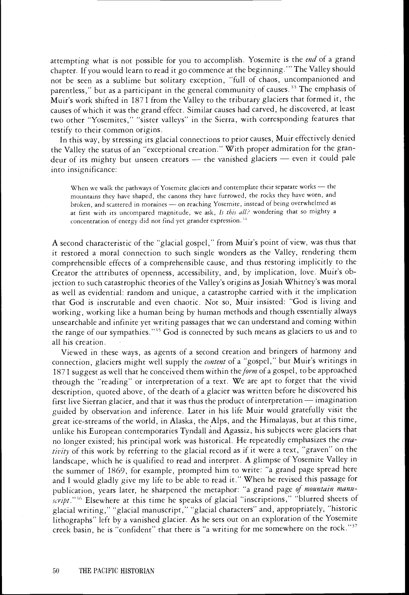attempting what is not possible for you to accomplish. Yosemite is the end of a grand chapter. If you would learn to read it go commence at the beginning." The Valley should not be seen as a sublime but solitary exception, 'full of chaos, uncompanioned and parentless," but as a participant in the general community of causes.<sup>33</sup> The emphasis of Muir's work shifted in 187 1 from the Valley to the tributary glaciers that formed it, the causes of which it was the grand effect. Similar causes had carved, he discovered, at least two other "Yosemites," "sister valleys" in the Sierra, with corresponding features that testify to their common origins.

In this way, by stressing its glacial connections to prior causes, Muir effectively denied the Valley the status of an "exceptional creation." With proper admiration for the grandeur of its mighty but unseen creators - the vanished glaciers - even it could pale into insignificance:

When we walk the pathways of Yosemite glaciers and contemplate their separate works - the mountains they have shaped, the canons they have furrowed, the rocks they have worn, and broken, and scattered in moraines - on reaching Yosemite, instead of being overwhelmed as at first with its uncompared magnitude, we ask, Is this all? wondering that so mighty a concentration of energy did not find yet grander expression.''

A second characteristic of the "glacial gospel," from Muir's point of view, was thus that it restored a moral connection to such single wonders as the Valley, rendering them comprehensible effects of a comprehensible cause, and thus restoring implicitly to the Creator the attributes of openness, accessibility, and, by implication, love. Muir's objection to such catastrophic theories of the Valley's origins as Josiah Whitney's was moral as well as evidential: random and unique, a catastrophe carried with it the implication that God is inscrutable and even chaotic. Not so, Muir insisted: "God is living and working, working like a human being by human methods and though essentially always unsearchable and infinite yet writing passages that we can understand and coming within the range of our sympathies."35 God is connected by such means as glaciers to us and to all his creation.

Viewed in these ways, as agents of a second creation and bringers of harmony and connection, glaciers might well supply the content of a "gospel," but Muir's writings in 1871 suggest as well that he conceived them within the form of a gospel, to be approached through the "reading" or interpretation of a text. We are apt to forget that the vivid description, quoted above, of the death of a glacier was written before he discovered his first live Sierran glacier, and that it was thus the product of interpretation - imagination guided by observation and inference. Later in his life Muir would gratefully visit the great ice-streams of the world, in Alaska, the Alps, and the Himalayas, but at this time, unlike his European contemporaries Tyndall and Agassiz, his subjects were glaciers that no longer existed; his principal work was historical. He repeatedly emphasizes the creativity of this work by referring to the glacial record as if it were a text, "graven" on the landscape, which he is qualified to read and interpret. A glimpse of Yosemite Valley in the summer of 1869, for example, prompted him to write: "a grand page spread here and I would gladly give my life to be able to read it." When he revised this passage for publication, years later, he sharpened the metaphor: "a grand page of mountain manuscript."<sup>36</sup> Elsewhere at this time he speaks of glacial "inscriptions," "blurred sheets of glacial writing," "glacial manuscript," "glacial characters" and, appropriately, "historic lithographs" left by a vanished glacier. As he sets out on an exploration of the Yosemite creek basin, he is "confident" that there is "a writing for me somewhere on the rock."37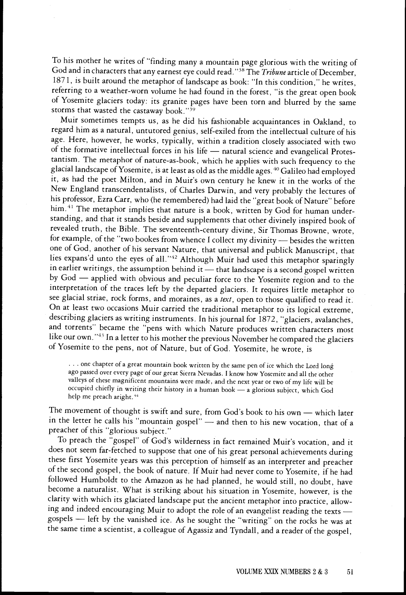To his mother he writes of "finding many a mountain page glorious with the writing of God and in characters that any earnest eye could read."<sup>38</sup> The Tribune article of December, 1871, is built around the metaphor of landscape as book: "In this condition," he writes, referring to a weather-worn volume he had found in the forest, "is the great open book of Yosemite glaciers today: its granite pages have been torn and blurred by the same storms that wasted the castaway book."<sup>39</sup>

Muir sometimes tempts us, as he did his fashionable acquaintances in Oakland, to regard him as a natural, untutored genius, self-exiled from the intellectual culture of his age. Here, however, he works, typically, within a tradition closely associated with two of the formative intellectual forces in his life - natural science and evangelical Protestantism. The metaphor of nature-as-book, which he applies with such frequency to the glacial landscape of Yosemite, is at least as old as the middle ages.<sup>40</sup> Galileo had employed it, as had the poet Milton, and in Muir's own century he knew it in the works of the New England transcendentalists, of Charles Darwin, and very probably the lectures of his professor, Ezra Carr, who (he remembered) had laid the "great book of Nature" before him.<sup>41</sup> The metaphor implies that nature is a book, written by God for human understanding, and that it stands beside and supplements that other divinely inspired book of revealed truth, the Bible. The seventeenth-century divine, Sir Thomas Browne, wrote, for example, of the "two bookes from whence I collect my divinity - besides the written one of God, another of his servant Nature, that universal and publick Manuscript, that lies expans'd unto the eyes of all."42 Although Muir had used this metaphor sparingly in earlier writings, the assumption behind it — that landscape is a second gospel written by God - applied with obvious and peculiar force to the Yosemite region and to the interpretation of the traces left by the departed glaciers. It requires little metaphor to see glacial striae, rock forms, and moraines, as a text, open to those qualified to read it. On at least two occasions Muir carried the traditional metaphor to its logical extreme, describing glaciers as writing instruments. In his journal for 1872, "glaciers, avalanches, and torrents" became the "pens with which Nature produces written characters most like our own."43 In a letter to his mother the previous November he compared the glaciers of Yosemite to the pens, not of Nature, but of God. Yosemite, he wrote, is

... one chapter of a great mountain book written by the same pen of ice which the Lord long ago passed over every page of our great Sierra Nevadas. I know how Yosemite and all the other valleys of these magnificent mountains were made, and the next year or two of my life will be occupied chiefly in writing their history in a human book - a glorious subject, which God help me preach aright.<sup>44</sup>

The movement of thought is swift and sure, from God's book to his own  $-$  which later in the letter he calls his "mountain gospel" - and then to his new vocation, that of a preacher of this "glorious subject."

To preach the "gospel" of God's wilderness in fact remained Muir's vocation, and it does not seem far-fetched to suppose that one of his great personal achievements during these first Yosemite years was this perception of himself as an interpreter and preacher of the second gospel, the book of nature. If Muir had never come to Yosemite, if he had followed Humboldt to the Amazon as he had planned, he would still, no doubt, have become a naturalist. What is striking about his situation in Yosemite, however, is the clarity with which its glaciated landscape put the ancient metaphor into practice, allowing and indeed encouraging Muir to adopt the role of an evangelist reading the texts gospels - left by the vanished ice. As he sought the "writing" on the rocks he was at the same time a scientist, a colleague of Agassiz and Tyndall, and a reader of the gospel,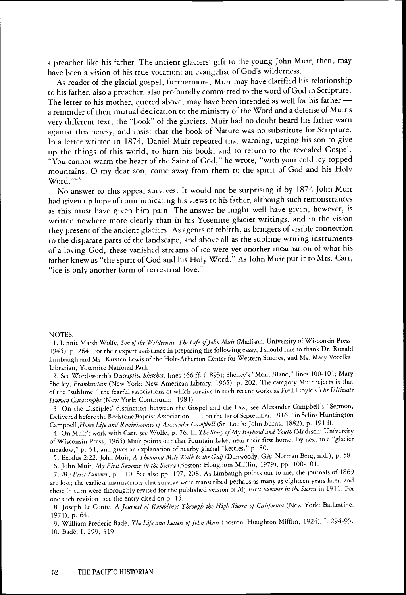a preacher like his father. The ancient glaciers' gift to the young John Muir, then, may have been a vision of his true vocation: an evangelist of God's wilderness.

As reader of the glacial gospel, furthermore, Muir may have clarified his relationship to his father, also a preacher, also profoundly committed to the word of God in Scripture. The letter to his mother, quoted above, may have been intended as well for his father  $$ a reminder of their mutual dedication to the ministry of the Word and a defense of Muir's very different text, the "book" of the glaciers. Muir had no doubt heard his father warn against this heresy, and insist that the book of Nature was no substitute for Scripture. In a letter written in 1874, Daniel Muir repeated that warning, urging his son to give up the things of this world, to burn his book, and to return to the revealed Gospel. "You cannot warm the heart of the Saint of God," he wrote, "with your cold icy topped mountains. 0 my dear son, come away from them to the spirit of God and his Holy Word."45

No answer to this appeal survives. It would not be surprising if by 1874 John Muir had given up hope of communicating his views to his father, although such remonstrances as this must have given him pain. The answer he might well have given, however, is written nowhere more clearly than in his Yosemite glacier writings, and in the vision they present of the ancient glaciers. As agents of rebirth, as bringers of visible connection to the disparate parts of the landscape, and above all as the sublime writing instruments of a loving God, these vanished streams of ice were yet another incarnation of what his father knew as "the spirit of God and his Holy Word." As John Muir put it to Mrs. Cart, "ice is only another form of terrestrial love."

## NOTES:

1. Linnie Marsh Wolfe, Son of the Wilderness: The Life of John Muir (Madison: University of Wisconsin Press, 1945), P. 264. For their expert assistance in preparing the following essay, I should like to thank Dr. Ronald Limbaugh and Ms. Kirsten Lewis of the Holt-Atherton Center for Western Studies, and Ms. Mary Vocelka, Librarian, Yosemite National Park.

2. See Wordsworth's Descriptive Sketches, lines 366 ff. (1893); Shelley's "Mont Blanc," lines 100-101; Mary Shelley, Frankenstein (New York: New American Library, 1965), p. 202. The category Muir rejects is that of the "sublime," the fearful associations of which survive in such recent works as Fred Hoyle's The Ultimate Human Catastrophe (New York: Continuum, 1981).

On the Disciples' distinction between the Gospel and the Law, see Alexander Campbell's "Sermon, Delivered before the Redstone Baptist Association, . . , on the 1st ofSeptember, 1816," in Selina Huntington Campbell, Home Life and Reminiscences of Alexander Campbell (St. Louis: John Burns, 1882), p. 191 ff.

4. On Muir's work with Carr, see Wolfe, p. 76. In The Story of My Boyhood and Youth (Madison: University of Wisconsin Press, 1965) Muir points out that Fountain Lake, near their first home, lay next to a "glacier meadow," p. 51, and gives an explanation of nearby glacial "kettles," p. 80.

5. Exodus 2:22; John Muir, A Thousand Mile Walk to the Gulf (Dunwoody, GA: Norman Berg, n.d.), p. 58.

6. John Muir, My First Summer in the Sierra (Boston: Houghton Mifflin, 1979), pp. 100-101.

My First Summer, p. 110. See also pp. 197, 208. As Limbaugh points out to me, the journals of 1869 are lost; the earliest manuscripts that survive were transcribed perhaps as many as eighteen years later, and these in turn were thoroughly revised for the published version of My First Summer in the Sierra in 1911. For one such revision, see the entry cited on P. 15.

8. Joseph Le Conte, A Journal of Ramblings Through the High Sierra of California (New York: Ballantine, 1971), p. 64.

9. William Frederic Badè, The Life and Letters of John Muir (Boston: Houghton Mifflin, 1924), I. 294-95. 10. Badè, I. 299, 319.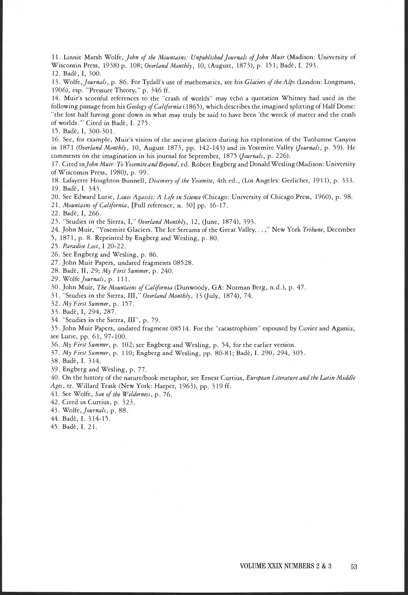11. Linnie Marsh Wolfe, John of the Mountains: Unpublished Journals of John Muir (Madison: University of Wisconsin Press, 1938) p. 108; Overland Monthly, 10, (August, 1873), p. 151; Badè, I. 293.

12 Bade, I, 300

13. Wolfe, Journals, p. 86. For Tydall's use of mathematics, see his Glaciers of the Alps (London: Longmans, 1906), esp. "Pressure Theory," p. 346 ff.

14. Muir's scornful references to the "crash of worlds" may echo a quotation Whitney had used in the following passage from his Geology of California (1865), which describes the imagined splitting of Half Dome: "the lost half having gone down in what may truly be said to have been 'the wreck of matter and the crash of worlds."" Cited in Badè, I. 275.

15. Badè, I, 300-301.

16 See, for example, Muir's vision of the ancient glaciers during his exploration of the Tuolumne Canyon in 1871 (Overland Monthly, 10, August 1873, pp. 142-143) and in Yosemite Valley (Journals, p. 59). He comments on the imagination in his journal for September, 1875 (Journals, p. 226).

17. Cited in John Muir. To Yosemite and Beyond, ed. Robert Engberg and Donald Wesling (Madison: University of Wisconsin Press, 1980), p. 99.

18. Lafayette Houghton Bunnell, Discovery of the Yosemite, 4th ed., (Los Angeles: Gerlicher, 1911), p. 333. 19. Badè, I. 343.

20. See Edward Lurie, Louis Agassiz: A Life in Science (Chicago: University of Chicago Press, 1960), p. 98. 21. Mountains of California, [Full reference, n. 30] pp. 16-17.

22. Bade, I, 266

23."Studies in the Sierra, 1," Overland Monthly, 12, (June, 1874), 393.

- 24. John Muir, "Yosemite Glaciers. The Ice Streams of the Great Valley...," New York Tribune, December
- 5, 1871, p. 8. Reprinted by Engberg and Wesling, p. 80.
- 25. Paradise Lost, I 20-22.
- 26. See Engberg and Wesling, p. 86.
- 27 John Muir Papers, undated fragments 08528.
- 28. Badè, II, 29; My First Summer, p. 240.
- 29. Wolfe Journals, p. 111.
- 30. John Muir, The Mountains of California (Dunwoody, GA: Norman Berg, n.d.), p. 47.
- 31 "Studies in the Sierra, III," Overland Monthly, 13 (July, 1874), 74.
- 32. My First Summer, p. 157.
- 33. Badè, I, 294, 287.
- 34. "Studies in the Sierra, III", p. 79.

John Muir Papers, undated fragment 08514. For the "catastrophism" espoused by Cuvier and Agassiz, see Lurie, pp. 61, 97-100.

- My First Summer, p. 102; see Engberg and Wesling, p. 54, for the earlier version.
- 37. My First Summer, p. 110; Engberg and Wesling, pp. 80-81; Badè, I. 290, 294, 305.

38. Badè, I. 314.

39. Engberg and Wesling, p. 77.

40. On the history of the nature/book metaphor, see Ernest Curtius, European Literature and the Latin Middle Ages, tr. Willard Trask (New York: Harper, 1963), pp. 319 ff.

- 41. See Wolfe, Son of the Wilderness, p. 76.
- 42. Cited in Curtius, p. 323.
- 43. Wolfe, Journals, p. 88.
- 44. Badè, I. 314-15.
- 45. Badè, I. 21.